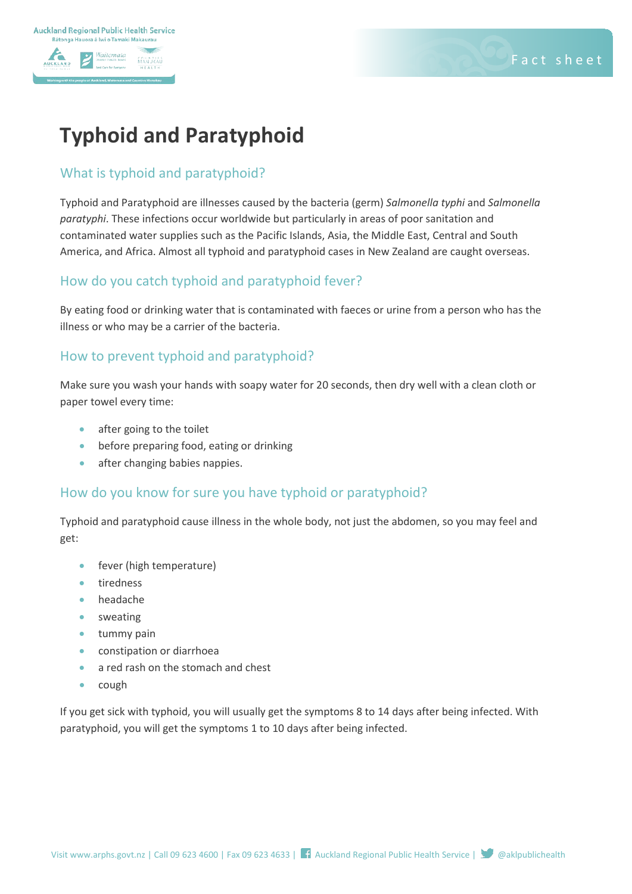

# **Typhoid and Paratyphoid**

#### What is typhoid and paratyphoid?

Typhoid and Paratyphoid are illnesses caused by the bacteria (germ) *Salmonella typhi* and *Salmonella paratyphi*. These infections occur worldwide but particularly in areas of poor sanitation and contaminated water supplies such as the Pacific Islands, Asia, the Middle East, Central and South America, and Africa. Almost all typhoid and paratyphoid cases in New Zealand are caught overseas.

#### How do you catch typhoid and paratyphoid fever?

By eating food or drinking water that is contaminated with faeces or urine from a person who has the illness or who may be a carrier of the bacteria.

#### How to prevent typhoid and paratyphoid?

Make sure you wash your hands with soapy water for 20 seconds, then dry well with a clean cloth or paper towel every time:

- after going to the toilet
- before preparing food, eating or drinking
- after changing babies nappies.

#### How do you know for sure you have typhoid or paratyphoid?

Typhoid and paratyphoid cause illness in the whole body, not just the abdomen, so you may feel and get:

- fever (high temperature)
- tiredness
- headache
- sweating
- tummy pain
- constipation or diarrhoea
- a red rash on the stomach and chest
- cough

If you get sick with typhoid, you will usually get the symptoms 8 to 14 days after being infected. With paratyphoid, you will get the symptoms 1 to 10 days after being infected.